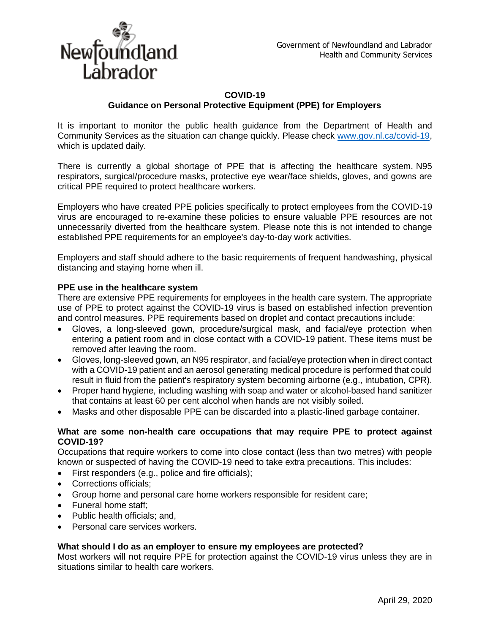

## **COVID-19 Guidance on Personal Protective Equipment (PPE) for Employers**

It is important to monitor the public health guidance from the Department of Health and Community Services as the situation can change quickly. Please check [www.gov.nl.ca/covid-19,](http://www.gov.nl.ca/covid-19) which is updated daily.

There is currently a global shortage of PPE that is affecting the healthcare system. N95 respirators, surgical/procedure masks, protective eye wear/face shields, gloves, and gowns are critical PPE required to protect healthcare workers.

Employers who have created PPE policies specifically to protect employees from the COVID-19 virus are encouraged to re-examine these policies to ensure valuable PPE resources are not unnecessarily diverted from the healthcare system. Please note this is not intended to change established PPE requirements for an employee's day-to-day work activities.

Employers and staff should adhere to the basic requirements of frequent handwashing, physical distancing and staying home when ill.

## **PPE use in the healthcare system**

There are extensive PPE requirements for employees in the health care system. The appropriate use of PPE to protect against the COVID-19 virus is based on established infection prevention and control measures. PPE requirements based on droplet and contact precautions include:

- Gloves, a long-sleeved gown, procedure/surgical mask, and facial/eye protection when entering a patient room and in close contact with a COVID-19 patient. These items must be removed after leaving the room.
- Gloves, long-sleeved gown, an N95 respirator, and facial/eye protection when in direct contact with a COVID-19 patient and an aerosol generating medical procedure is performed that could result in fluid from the patient's respiratory system becoming airborne (e.g., intubation, CPR).
- Proper hand hygiene, including washing with soap and water or alcohol-based hand sanitizer that contains at least 60 per cent alcohol when hands are not visibly soiled.
- Masks and other disposable PPE can be discarded into a plastic-lined garbage container.

## **What are some non-health care occupations that may require PPE to protect against COVID-19?**

Occupations that require workers to come into close contact (less than two metres) with people known or suspected of having the COVID-19 need to take extra precautions. This includes:

- First responders (e.g., police and fire officials);
- Corrections officials;
- Group home and personal care home workers responsible for resident care;
- Funeral home staff;
- Public health officials: and,
- Personal care services workers.

## **What should I do as an employer to ensure my employees are protected?**

Most workers will not require PPE for protection against the COVID-19 virus unless they are in situations similar to health care workers.